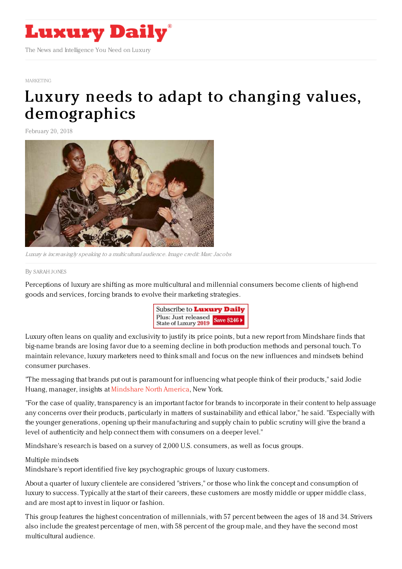

#### [MARKETING](https://www.luxurydaily.com/category/sectors/marketing-industry-sectors/)

# Luxury needs to adapt to changing values, [demographics](https://www.luxurydaily.com/luxury-needs-to-adapt-to-changing-values-demographics/)

February 20, 2018



Luxury is increasingly speaking to <sup>a</sup> multicultural audience. Image credit: Marc Jacobs

### By [SARAH](file:///author/sarah-jones) JONES

Perceptions of luxury are shifting as more multicultural and millennial consumers become clients of high-end goods and services, forcing brands to evolve their marketing strategies.



Luxury often leans on quality and exclusivity to justify its price points, but a new report from Mindshare finds that big-name brands are losing favor due to a seeming decline in both production methods and personal touch. To maintain relevance, luxury marketers need to think small and focus on the new influences and mindsets behind consumer purchases.

"The messaging that brands put out is paramount for influencing what people think of their products," said Jodie Huang, manager, insights at [Mindshare](http://www.mindshareworld.com/) North America, New York.

"For the case of quality, transparency is an important factor for brands to incorporate in their content to help assuage any concerns over their products, particularly in matters of sustainability and ethical labor," he said. "Especially with the younger generations, opening up their manufacturing and supply chain to public scrutiny will give the brand a level of authenticity and help connect them with consumers on a deeper level."

Mindshare's research is based on a survey of 2,000 U.S. consumers, as well as focus groups.

## Multiple mindsets

Mindshare's report identified five key psychographic groups of luxury customers.

About a quarter of luxury clientele are considered "strivers," or those who link the concept and consumption of luxury to success. Typically at the start of their careers, these customers are mostly middle or upper middle class, and are most apt to invest in liquor or fashion.

This group features the highest concentration of millennials, with 57 percent between the ages of 18 and 34. Strivers also include the greatest percentage of men, with 58 percent of the group male, and they have the second most multicultural audience.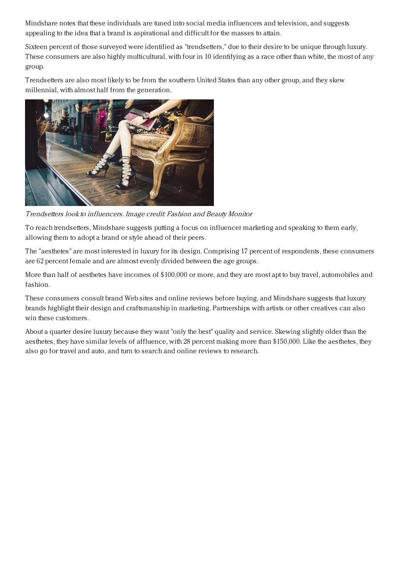Mindshare notes that these individuals are tuned into social media influencers and television, and suggests appealing to the idea that a brand is aspirational and difficult for the masses to attain.

Sixteen percent of those surveyed were identified as "trendsetters," due to their desire to be unique through luxury. These consumers are also highly multicultural, with four in 10 identifying as a race other than white, the most of any group.

Trendsetters are also most likely to be from the southern United States than any other group, and they skew millennial, with almost half from the generation.



Trendsetters look to influencers. Image credit: Fashion and Beauty Monitor

To reach trendsetters, Mindshare suggests putting a focus on influencer marketing and speaking to them early, allowing them to adopt a brand or style ahead of their peers.

The "aesthetes" are most interested in luxury for its design. Comprising 17 percent of respondents, these consumers are 62 percent female and are almost evenly divided between the age groups.

More than half of aesthetes have incomes of \$100,000 or more, and they are most apt to buy travel, automobiles and fashion.

These consumers consult brand Web sites and online reviews before buying, and Mindshare suggests that luxury brands highlight their design and craftsmanship in marketing. Partnerships with artists or other creatives can also win these customers.

About a quarter desire luxury because they want "only the best" quality and service. Skewing slightly older than the aesthetes, they have similar levels of affluence, with 28 percent making more than \$150,000. Like the aesthetes, they also go for travel and auto, and turn to search and online reviews to research.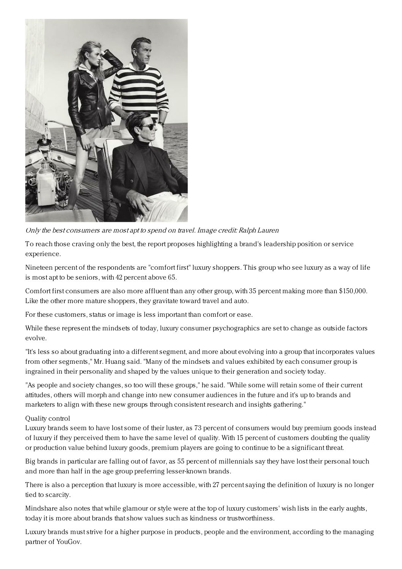

Only the best consumers are most apt to spend on travel. Image credit: Ralph Lauren

To reach those craving only the best, the report proposes highlighting a brand's leadership position or service experience.

Nineteen percent of the respondents are "comfort first" luxury shoppers. This group who see luxury as a way of life is most apt to be seniors, with 42 percent above 65.

Comfort first consumers are also more affluent than any other group, with 35 percent making more than \$150,000. Like the other more mature shoppers, they gravitate toward travel and auto.

For these customers, status or image is less important than comfort or ease.

While these represent the mindsets of today, luxury consumer psychographics are set to change as outside factors evolve.

"It's less so about graduating into a different segment, and more about evolving into a group that incorporates values from other segments," Mr. Huang said. "Many of the mindsets and values exhibited by each consumer group is ingrained in their personality and shaped by the values unique to their generation and society today.

"As people and society changes, so too will these groups," he said. "While some will retain some of their current attitudes, others will morph and change into new consumer audiences in the future and it's up to brands and marketers to align with these new groups through consistent research and insights gathering."

## Quality control

Luxury brands seem to have lost some of their luster, as 73 percent of consumers would buy premium goods instead of luxury if they perceived them to have the same level of quality. With 15 percent of customers doubting the quality or production value behind luxury goods, premium players are going to continue to be a significant threat.

Big brands in particular are falling out of favor, as 55 percent of millennials say they have lost their personal touch and more than half in the age group preferring lesser-known brands.

There is also a perception that luxury is more accessible, with 27 percent saying the definition of luxury is no longer tied to scarcity.

Mindshare also notes that while glamour or style were at the top of luxury customers' wish lists in the early aughts, today it is more about brands that show values such as kindness or trustworthiness.

Luxury brands must strive for a higher purpose in products, people and the environment, according to the managing partner of YouGov.